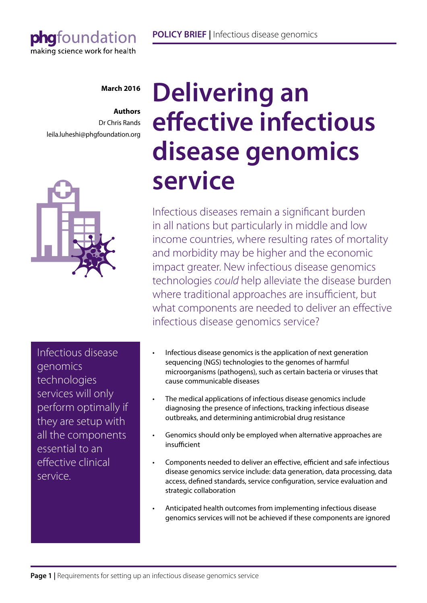## phafoundation making science work for health

#### **March 2016**

#### **Authors**

Dr Chris Rands leila.luheshi@phgfoundation.org



Infectious disease genomics technologies services will only perform optimally if they are setup with all the components essential to an effective clinical service.

# **Delivering an effective infectious disease genomics service**

Infectious diseases remain a significant burden in all nations but particularly in middle and low income countries, where resulting rates of mortality and morbidity may be higher and the economic impact greater. New infectious disease genomics technologies *could* help alleviate the disease burden where traditional approaches are insufficient, but what components are needed to deliver an effective infectious disease genomics service?

- Infectious disease genomics is the application of next generation sequencing (NGS) technologies to the genomes of harmful microorganisms (pathogens), such as certain bacteria or viruses that cause communicable diseases
- The medical applications of infectious disease genomics include diagnosing the presence of infections, tracking infectious disease outbreaks, and determining antimicrobial drug resistance
- Genomics should only be employed when alternative approaches are insufficient
- Components needed to deliver an effective, efficient and safe infectious disease genomics service include: data generation, data processing, data access, defined standards, service configuration, service evaluation and strategic collaboration
- Anticipated health outcomes from implementing infectious disease genomics services will not be achieved if these components are ignored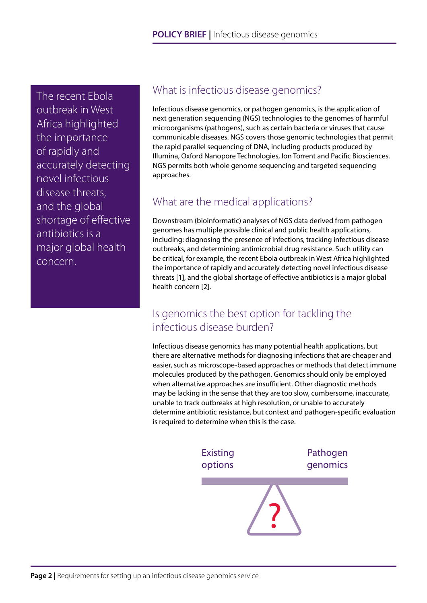The recent Ebola outbreak in West Africa highlighted the importance of rapidly and accurately detecting novel infectious disease threats, and the global shortage of effective antibiotics is a major global health concern.

## What is infectious disease genomics?

Infectious disease genomics, or pathogen genomics, is the application of next generation sequencing (NGS) technologies to the genomes of harmful microorganisms (pathogens), such as certain bacteria or viruses that cause communicable diseases. NGS covers those genomic technologies that permit the rapid parallel sequencing of DNA, including products produced by Illumina, Oxford Nanopore Technologies, Ion Torrent and Pacific Biosciences. NGS permits both whole genome sequencing and targeted sequencing approaches.

## What are the medical applications?

Downstream (bioinformatic) analyses of NGS data derived from pathogen genomes has multiple possible clinical and public health applications, including: diagnosing the presence of infections, tracking infectious disease outbreaks, and determining antimicrobial drug resistance. Such utility can be critical, for example, the recent Ebola outbreak in West Africa highlighted the importance of rapidly and accurately detecting novel infectious disease threats [1], and the global shortage of effective antibiotics is a major global health concern [2].

## Is genomics the best option for tackling the infectious disease burden?

Infectious disease genomics has many potential health applications, but there are alternative methods for diagnosing infections that are cheaper and easier, such as microscope-based approaches or methods that detect immune molecules produced by the pathogen. Genomics should only be employed when alternative approaches are insufficient. Other diagnostic methods may be lacking in the sense that they are too slow, cumbersome, inaccurate, unable to track outbreaks at high resolution, or unable to accurately determine antibiotic resistance, but context and pathogen-specific evaluation is required to determine when this is the case.

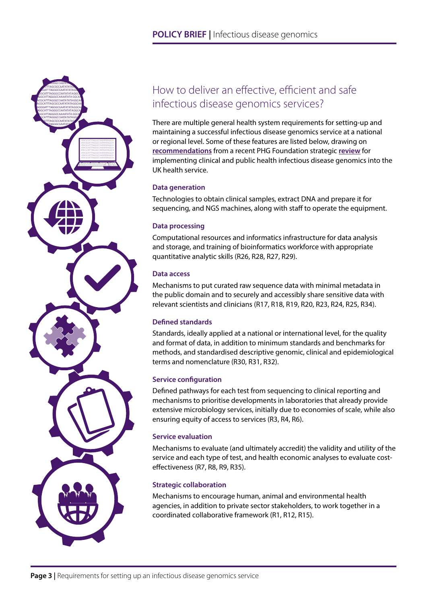

## How to deliver an effective, efficient and safe infectious disease genomics services?

There are multiple general health system requirements for setting-up and maintaining a successful infectious disease genomics service at a national or regional level. Some of these features are listed below, drawing on **[recommendations](http://www.phgfoundation.org/roadmap)** from a recent PHG Foundation strategic **[review](http://www.phgfoundation.org/file/16848/)** for implementing clinical and public health infectious disease genomics into the UK health service.

#### **Data generation**

Technologies to obtain clinical samples, extract DNA and prepare it for sequencing, and NGS machines, along with staff to operate the equipment.

#### **Data processing**

Computational resources and informatics infrastructure for data analysis and storage, and training of bioinformatics workforce with appropriate quantitative analytic skills (R26, R28, R27, R29).

#### **Data access**

Mechanisms to put curated raw sequence data with minimal metadata in the public domain and to securely and accessibly share sensitive data with relevant scientists and clinicians (R17, R18, R19, R20, R23, R24, R25, R34).

#### **Defined standards**

Standards, ideally applied at a national or international level, for the quality and format of data, in addition to minimum standards and benchmarks for methods, and standardised descriptive genomic, clinical and epidemiological terms and nomenclature (R30, R31, R32).

#### **Service configuration**

Defined pathways for each test from sequencing to clinical reporting and mechanisms to prioritise developments in laboratories that already provide extensive microbiology services, initially due to economies of scale, while also ensuring equity of access to services (R3, R4, R6).

#### **Service evaluation**

Mechanisms to evaluate (and ultimately accredit) the validity and utility of the service and each type of test, and health economic analyses to evaluate costeffectiveness (R7, R8, R9, R35).

#### **Strategic collaboration**

Mechanisms to encourage human, animal and environmental health agencies, in addition to private sector stakeholders, to work together in a coordinated collaborative framework (R1, R12, R15).